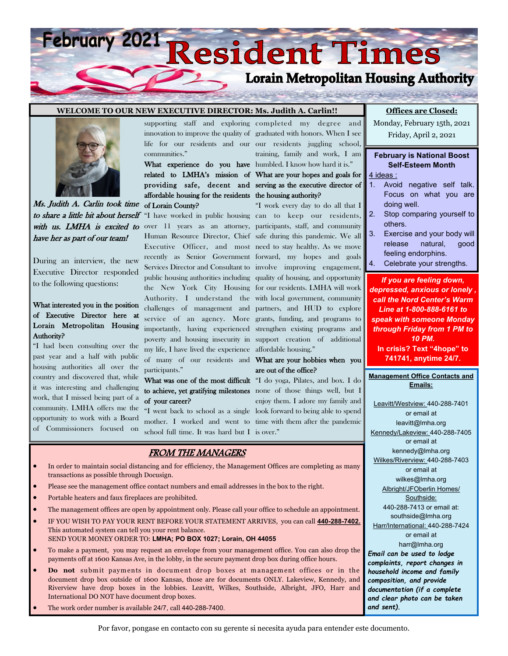# February 2021 Resident Times **Lorain Metropolitan Housing Authority**

#### **WELCOME TO OUR NEW EXECUTIVE DIRECTOR: Ms. Judith A. Carlin!!**



Ms. Judith A. Carlin took time to share a little bit about herself with us. LMHA is excited to over 11 years as an attorney, participants, staff, and community have her as part of our team!

During an interview, the new Executive Director responded to the following questions:

#### What interested you in the position of Executive Director here at Lorain Metropolitan Housing Authority?

"I had been consulting over the past year and a half with public housing authorities all over the country and discovered that, while it was interesting and challenging work, that I missed being part of a community. LMHA offers me the opportunity to work with a Board of Commissioners focused on communities."

related to LMHA's mission of What are your hopes and goals for providing safe, decent and serving as the executive director of affordable housing for the residents the housing authority? of Lorain County?

"I have worked in public housing can to keep our residents, Human Resource Director, Chief safe during this pandemic. We all Executive Officer, and most need to stay healthy. As we move recently as Senior Government forward, my hopes and goals Services Director and Consultant to involve improving engagement, public housing authorities including quality of housing, and opportunity the New York City Housing for our residents. LMHA will work Authority. I understand the with local government, community challenges of management and partners, and HUD to explore service of an agency. More grants, funding, and programs to importantly, having experienced strengthen existing programs and poverty and housing insecurity in support creation of additional my life, I have lived the experience affordable housing." of many of our residents and What are your hobbies when you participants."

## to achieve, yet gratifying milestones none of those things well, but I of your career?

"I went back to school as a single look forward to being able to spend mother. I worked and went to time with them after the pandemic school full time. It was hard but I is over."

supporting staff and exploring completed my degree and innovation to improve the quality of graduated with honors. When I see life for our residents and our our residents juggling school, What experience do you have humbled. I know how hard it is." training, family and work, I am

"I work every day to do all that I

# are out of the office?

What was one of the most difficult "I do yoga, Pilates, and box. I do enjoy them. I adore my family and

#### FROM THE MANAGERS

- In order to maintain social distancing and for efficiency, the Management Offices are completing as many transactions as possible through Docusign.
- Please see the management office contact numbers and email addresses in the box to the right.
- Portable heaters and faux fireplaces are prohibited.
- The management offices are open by appointment only. Please call your office to schedule an appointment.
- IF YOU WISH TO PAY YOUR RENT BEFORE YOUR STATEMENT ARRIVES, you can call **440-288-7402.**  This automated system can tell you your rent balance. SEND YOUR MONEY ORDER TO: **LMHA; PO BOX 1027; Lorain, OH 44055**
- To make a payment, you may request an envelope from your management office. You can also drop the payments off at 1600 Kansas Ave, in the lobby, in the secure payment drop box during office hours.
- **Do not** submit payments in document drop boxes at management offices or in the document drop box outside of 1600 Kansas, those are for documents ONLY. Lakeview, Kennedy, and Riverview have drop boxes in the lobbies. Leavitt, Wilkes, Southside, Albright, JFO, Harr and International DO NOT have document drop boxes.
- The work order number is available 24/7, call 440-288-7400.

**Emails:** Leavitt/Westview: 440-288-7401 or email at leavitt@lmha.org Kennedy/Lakeview: 440-288-7405 or email at kennedy@lmha.org Wilkes/Riverview: 440-288-7403 or email at wilkes@lmha.org Albright/JFOberlin Homes/ Southside: 440-288-7413 or email at: southside@lmha.org Harr/International: 440-288-7424 or email at harr@lmha.org *Email can be used to lodge complaints, report changes in household income and family composition, and provide documentation (if a complete and clear photo can be taken and sent).* 

**Management Office Contacts and** 

Por favor, pongase en contacto con su gerente si necesita ayuda para entender este documento.

### **Offices are Closed:**

Monday, February 15th, 2021 Friday, April 2, 2021

#### **February is National Boost Self-Esteem Month**

4 ideas :

- 1. Avoid negative self talk. Focus on what you are doing well.
- 2. Stop comparing yourself to others.
- 3. Exercise and your body will release natural, good feeling endorphins.

*If you are feeling down, depressed, anxious or lonely , call the Nord Center's Warm Line at 1-800-888-6161 to speak with someone Monday through Friday from 1 PM to 10 PM.*  **In crisis? Text "4hope" to 741741, anytime 24/7.** 

Celebrate your strengths.